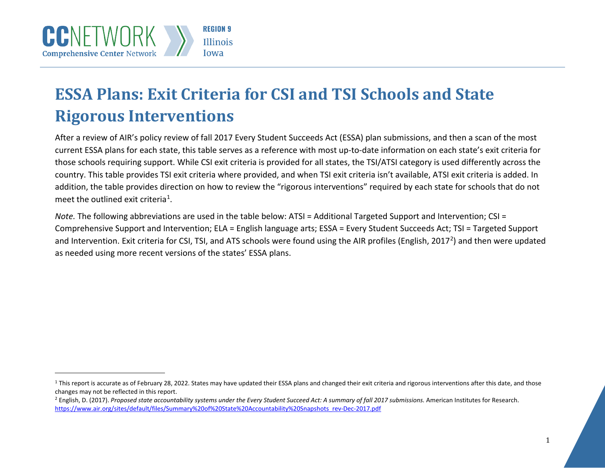<span id="page-0-1"></span><span id="page-0-0"></span>

## **ESSA Plans: Exit Criteria for CSI and TSI Schools and State Rigorous Interventions**

After a review of AIR's policy review of fall 2017 Every Student Succeeds Act (ESSA) plan submissions, and then a scan of the most current ESSA plans for each state, this table serves as a reference with most up-to-date information on each state's exit criteria for those schools requiring support. While CSI exit criteria is provided for all states, the TSI/ATSI category is used differently across the country. This table provides TSI exit criteria where provided, and when TSI exit criteria isn't available, ATSI exit criteria is added. In addition, the table provides direction on how to review the "rigorous interventions" required by each state for schools that do not meet the outlined exit criteria<sup>[1](#page-0-0)</sup>.

*Note.* The following abbreviations are used in the table below: ATSI = Additional Targeted Support and Intervention; CSI = Comprehensive Support and Intervention; ELA = English language arts; ESSA = Every Student Succeeds Act; TSI = Targeted Support and Intervention. Exit criteria for CSI, TSI, and ATS schools were found using the AIR profiles (English, [2](#page-0-1)017<sup>2</sup>) and then were updated as needed using more recent versions of the states' ESSA plans.

 $1$  This report is accurate as of February 28, 2022. States may have updated their ESSA plans and changed their exit criteria and rigorous interventions after this date, and those changes may not be reflected in this report.

<sup>&</sup>lt;sup>2</sup> English, D. (2017). Proposed state accountability systems under the Every Student Succeed Act: A summary of fall 2017 submissions. American Institutes for Research. [https://www.air.org/sites/default/files/Summary%20of%20State%20Accountability%20Snapshots\\_rev-Dec-2017.pdf](https://www.air.org/sites/default/files/Summary%20of%20State%20Accountability%20Snapshots_rev-Dec-2017.pdf)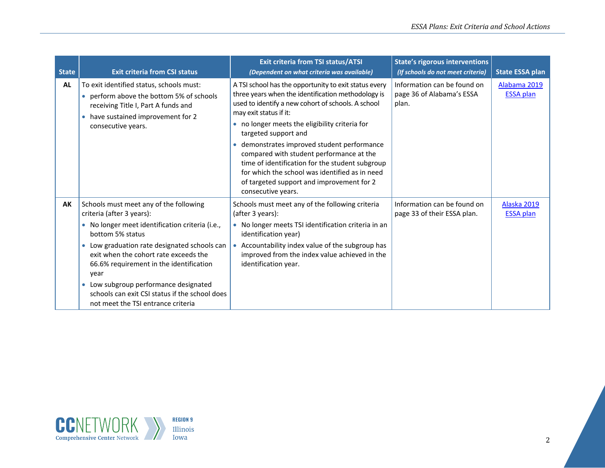| <b>State</b> | <b>Exit criteria from CSI status</b>                                                                                                                                                                                                                                                                                                                                                                                               | <b>Exit criteria from TSI status/ATSI</b><br>(Dependent on what criteria was available)                                                                                                                                                                                                                                                                                                                                                                                                                                              | <b>State's rigorous interventions</b><br>(If schools do not meet criteria) | <b>State ESSA plan</b>           |
|--------------|------------------------------------------------------------------------------------------------------------------------------------------------------------------------------------------------------------------------------------------------------------------------------------------------------------------------------------------------------------------------------------------------------------------------------------|--------------------------------------------------------------------------------------------------------------------------------------------------------------------------------------------------------------------------------------------------------------------------------------------------------------------------------------------------------------------------------------------------------------------------------------------------------------------------------------------------------------------------------------|----------------------------------------------------------------------------|----------------------------------|
| AL           | To exit identified status, schools must:<br>• perform above the bottom 5% of schools<br>receiving Title I, Part A funds and<br>• have sustained improvement for 2<br>consecutive years.                                                                                                                                                                                                                                            | A TSI school has the opportunity to exit status every<br>three years when the identification methodology is<br>used to identify a new cohort of schools. A school<br>may exit status if it:<br>no longer meets the eligibility criteria for<br>targeted support and<br>demonstrates improved student performance<br>compared with student performance at the<br>time of identification for the student subgroup<br>for which the school was identified as in need<br>of targeted support and improvement for 2<br>consecutive years. | Information can be found on<br>page 36 of Alabama's ESSA<br>plan.          | Alabama 2019<br><b>ESSA plan</b> |
| AK           | Schools must meet any of the following<br>criteria (after 3 years):<br>• No longer meet identification criteria (i.e.,<br>bottom 5% status<br>• Low graduation rate designated schools can<br>exit when the cohort rate exceeds the<br>66.6% requirement in the identification<br>year<br>Low subgroup performance designated<br>$\bullet$<br>schools can exit CSI status if the school does<br>not meet the TSI entrance criteria | Schools must meet any of the following criteria<br>(after 3 years):<br>• No longer meets TSI identification criteria in an<br>identification year)<br>Accountability index value of the subgroup has<br>improved from the index value achieved in the<br>identification year.                                                                                                                                                                                                                                                        | Information can be found on<br>page 33 of their ESSA plan.                 | Alaska 2019<br><b>ESSA plan</b>  |

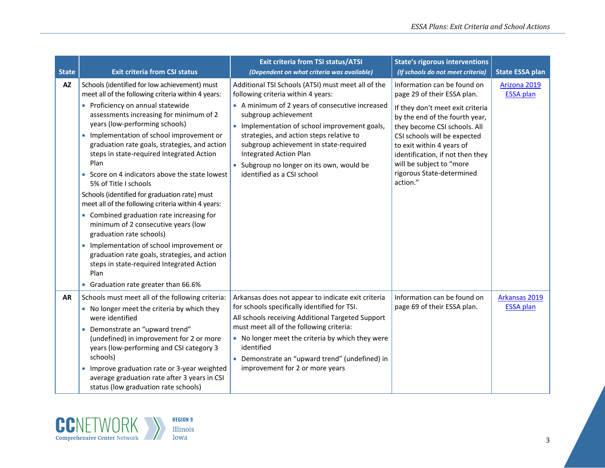| <b>State</b> | <b>Exit criteria from CSI status</b>                                                                                                                                                                                                                                                                                                                                                                                                                                                                                                                                                                                                                                                                                                                                                                                                                            | <b>Exit criteria from TSI status/ATSI</b><br>(Dependent on what criteria was available)                                                                                                                                                                                                                                                                                                                                | <b>State's rigorous interventions</b><br>(If schools do not meet criteria)                                                                                                                                                                                                                                                             | <b>State ESSA plan</b>            |
|--------------|-----------------------------------------------------------------------------------------------------------------------------------------------------------------------------------------------------------------------------------------------------------------------------------------------------------------------------------------------------------------------------------------------------------------------------------------------------------------------------------------------------------------------------------------------------------------------------------------------------------------------------------------------------------------------------------------------------------------------------------------------------------------------------------------------------------------------------------------------------------------|------------------------------------------------------------------------------------------------------------------------------------------------------------------------------------------------------------------------------------------------------------------------------------------------------------------------------------------------------------------------------------------------------------------------|----------------------------------------------------------------------------------------------------------------------------------------------------------------------------------------------------------------------------------------------------------------------------------------------------------------------------------------|-----------------------------------|
| <b>AZ</b>    | Schools (identified for low achievement) must<br>meet all of the following criteria within 4 years:<br>• Proficiency on annual statewide<br>assessments increasing for minimum of 2<br>years (low-performing schools)<br>Implementation of school improvement or<br>graduation rate goals, strategies, and action<br>steps in state-required Integrated Action<br>Plan<br>• Score on 4 indicators above the state lowest<br>5% of Title I schools<br>Schools (identified for graduation rate) must<br>meet all of the following criteria within 4 years:<br>• Combined graduation rate increasing for<br>minimum of 2 consecutive years (low<br>graduation rate schools)<br>Implementation of school improvement or<br>graduation rate goals, strategies, and action<br>steps in state-required Integrated Action<br>Plan<br>Graduation rate greater than 66.6% | Additional TSI Schools (ATSI) must meet all of the<br>following criteria within 4 years:<br>• A minimum of 2 years of consecutive increased<br>subgroup achievement<br>• Implementation of school improvement goals,<br>strategies, and action steps relative to<br>subgroup achievement in state-required<br><b>Integrated Action Plan</b><br>• Subgroup no longer on its own, would be<br>identified as a CSI school | Information can be found on<br>page 29 of their ESSA plan.<br>If they don't meet exit criteria<br>by the end of the fourth year,<br>they become CSI schools. All<br>CSI schools will be expected<br>to exit within 4 years of<br>identification, if not then they<br>will be subject to "more<br>rigorous State-determined<br>action." | Arizona 2019<br><b>ESSA plan</b>  |
| <b>AR</b>    | Schools must meet all of the following criteria:<br>• No longer meet the criteria by which they<br>were identified<br>Demonstrate an "upward trend"<br>$\bullet$<br>(undefined) in improvement for 2 or more<br>years (low-performing and CSI category 3<br>schools)<br>Improve graduation rate or 3-year weighted<br>$\bullet$<br>average graduation rate after 3 years in CSI<br>status (low graduation rate schools)                                                                                                                                                                                                                                                                                                                                                                                                                                         | Arkansas does not appear to indicate exit criteria<br>for schools specifically identified for TSI.<br>All schools receiving Additional Targeted Support<br>must meet all of the following criteria:<br>• No longer meet the criteria by which they were<br>identified<br>Demonstrate an "upward trend" (undefined) in<br>improvement for 2 or more years                                                               | Information can be found on<br>page 69 of their ESSA plan.                                                                                                                                                                                                                                                                             | Arkansas 2019<br><b>ESSA</b> plan |

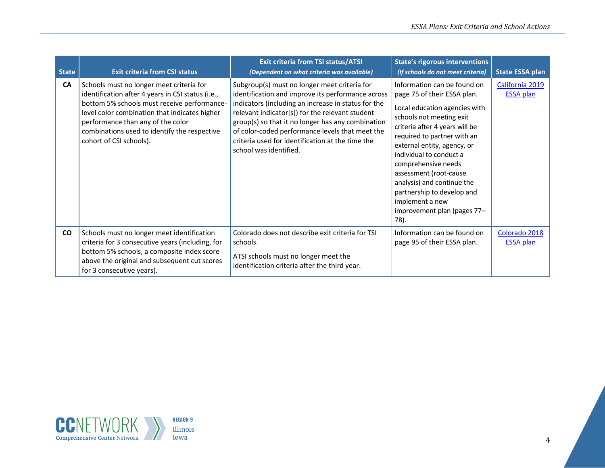| <b>State</b> | <b>Exit criteria from CSI status</b>                                                                                                                                                                                                                                                                          | <b>Exit criteria from TSI status/ATSI</b><br>(Dependent on what criteria was available)                                                                                                                                                                                                                                                                                                           | <b>State's rigorous interventions</b><br>(If schools do not meet criteria)                                                                                                                                                                                                                                                                                                                                                | <b>State ESSA plan</b>              |
|--------------|---------------------------------------------------------------------------------------------------------------------------------------------------------------------------------------------------------------------------------------------------------------------------------------------------------------|---------------------------------------------------------------------------------------------------------------------------------------------------------------------------------------------------------------------------------------------------------------------------------------------------------------------------------------------------------------------------------------------------|---------------------------------------------------------------------------------------------------------------------------------------------------------------------------------------------------------------------------------------------------------------------------------------------------------------------------------------------------------------------------------------------------------------------------|-------------------------------------|
| CA           | Schools must no longer meet criteria for<br>identification after 4 years in CSI status (i.e.,<br>bottom 5% schools must receive performance-<br>level color combination that indicates higher<br>performance than any of the color<br>combinations used to identify the respective<br>cohort of CSI schools). | Subgroup(s) must no longer meet criteria for<br>identification and improve its performance across<br>indicators (including an increase in status for the<br>relevant indicator[s]) for the relevant student<br>group(s) so that it no longer has any combination<br>of color-coded performance levels that meet the<br>criteria used for identification at the time the<br>school was identified. | Information can be found on<br>page 75 of their ESSA plan.<br>Local education agencies with<br>schools not meeting exit<br>criteria after 4 years will be<br>required to partner with an<br>external entity, agency, or<br>individual to conduct a<br>comprehensive needs<br>assessment (root-cause<br>analysis) and continue the<br>partnership to develop and<br>implement a new<br>improvement plan (pages 77-<br>78). | California 2019<br><b>ESSA plan</b> |
| CO           | Schools must no longer meet identification<br>criteria for 3 consecutive years (including, for<br>bottom 5% schools, a composite index score<br>above the original and subsequent cut scores<br>for 3 consecutive years).                                                                                     | Colorado does not describe exit criteria for TSI<br>schools.<br>ATSI schools must no longer meet the<br>identification criteria after the third year.                                                                                                                                                                                                                                             | Information can be found on<br>page 95 of their ESSA plan.                                                                                                                                                                                                                                                                                                                                                                | Colorado 2018<br><b>ESSA plan</b>   |

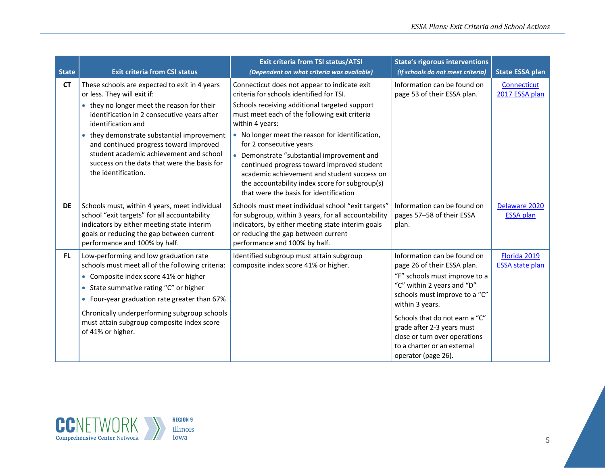| <b>State</b> | <b>Exit criteria from CSI status</b>                                                                                                                                                                                                                                                                                                                                                                     | <b>Exit criteria from TSI status/ATSI</b><br>(Dependent on what criteria was available)                                                                                                                                                                                                                                                                                                                                                                                                                                            | <b>State's rigorous interventions</b><br>(If schools do not meet criteria)                                                                                                                                                                                                                                                           | <b>State ESSA plan</b>                 |
|--------------|----------------------------------------------------------------------------------------------------------------------------------------------------------------------------------------------------------------------------------------------------------------------------------------------------------------------------------------------------------------------------------------------------------|------------------------------------------------------------------------------------------------------------------------------------------------------------------------------------------------------------------------------------------------------------------------------------------------------------------------------------------------------------------------------------------------------------------------------------------------------------------------------------------------------------------------------------|--------------------------------------------------------------------------------------------------------------------------------------------------------------------------------------------------------------------------------------------------------------------------------------------------------------------------------------|----------------------------------------|
| <b>CT</b>    | These schools are expected to exit in 4 years<br>or less. They will exit if:<br>• they no longer meet the reason for their<br>identification in 2 consecutive years after<br>identification and<br>• they demonstrate substantial improvement<br>and continued progress toward improved<br>student academic achievement and school<br>success on the data that were the basis for<br>the identification. | Connecticut does not appear to indicate exit<br>criteria for schools identified for TSI.<br>Schools receiving additional targeted support<br>must meet each of the following exit criteria<br>within 4 years:<br>• No longer meet the reason for identification,<br>for 2 consecutive years<br>• Demonstrate "substantial improvement and<br>continued progress toward improved student<br>academic achievement and student success on<br>the accountability index score for subgroup(s)<br>that were the basis for identification | Information can be found on<br>page 53 of their ESSA plan.                                                                                                                                                                                                                                                                           | Connecticut<br>2017 ESSA plan          |
| <b>DE</b>    | Schools must, within 4 years, meet individual<br>school "exit targets" for all accountability<br>indicators by either meeting state interim<br>goals or reducing the gap between current<br>performance and 100% by half.                                                                                                                                                                                | Schools must meet individual school "exit targets"<br>for subgroup, within 3 years, for all accountability<br>indicators, by either meeting state interim goals<br>or reducing the gap between current<br>performance and 100% by half.                                                                                                                                                                                                                                                                                            | Information can be found on<br>pages 57-58 of their ESSA<br>plan.                                                                                                                                                                                                                                                                    | Delaware 2020<br><b>ESSA plan</b>      |
| FL.          | Low-performing and low graduation rate<br>schools must meet all of the following criteria:<br>• Composite index score 41% or higher<br>• State summative rating "C" or higher<br>• Four-year graduation rate greater than 67%<br>Chronically underperforming subgroup schools<br>must attain subgroup composite index score<br>of 41% or higher.                                                         | Identified subgroup must attain subgroup<br>composite index score 41% or higher.                                                                                                                                                                                                                                                                                                                                                                                                                                                   | Information can be found on<br>page 26 of their ESSA plan.<br>"F" schools must improve to a<br>"C" within 2 years and "D"<br>schools must improve to a "C"<br>within 3 years.<br>Schools that do not earn a "C"<br>grade after 2-3 years must<br>close or turn over operations<br>to a charter or an external<br>operator (page 26). | Florida 2019<br><b>ESSA state plan</b> |

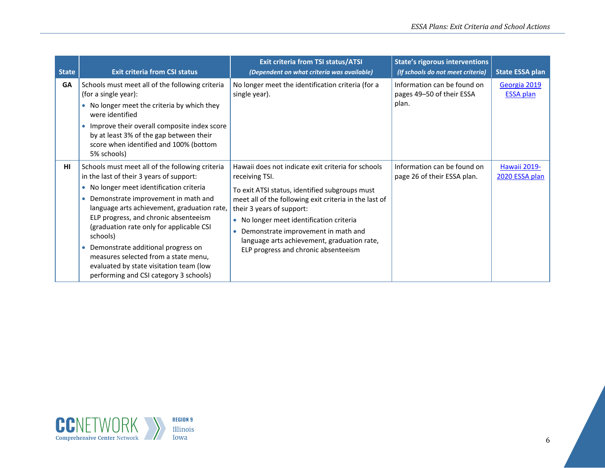| <b>State</b> | <b>Exit criteria from CSI status</b>                                                                                                                                                                                                                                                                                                                                                                                                                                                                           | <b>Exit criteria from TSI status/ATSI</b><br>(Dependent on what criteria was available)                                                                                                                                                                                                                                                                                                              | <b>State's rigorous interventions</b><br>(If schools do not meet criteria) | <b>State ESSA plan</b>           |
|--------------|----------------------------------------------------------------------------------------------------------------------------------------------------------------------------------------------------------------------------------------------------------------------------------------------------------------------------------------------------------------------------------------------------------------------------------------------------------------------------------------------------------------|------------------------------------------------------------------------------------------------------------------------------------------------------------------------------------------------------------------------------------------------------------------------------------------------------------------------------------------------------------------------------------------------------|----------------------------------------------------------------------------|----------------------------------|
| <b>GA</b>    | Schools must meet all of the following criteria<br>(for a single year):<br>• No longer meet the criteria by which they<br>were identified<br>Improve their overall composite index score<br>by at least 3% of the gap between their<br>score when identified and 100% (bottom<br>5% schools)                                                                                                                                                                                                                   | No longer meet the identification criteria (for a<br>single year).                                                                                                                                                                                                                                                                                                                                   | Information can be found on<br>pages 49-50 of their ESSA<br>plan.          | Georgia 2019<br><b>ESSA plan</b> |
| HI           | Schools must meet all of the following criteria<br>in the last of their 3 years of support:<br>• No longer meet identification criteria<br>Demonstrate improvement in math and<br>$\bullet$<br>language arts achievement, graduation rate,<br>ELP progress, and chronic absenteeism<br>(graduation rate only for applicable CSI<br>schools)<br>Demonstrate additional progress on<br>measures selected from a state menu,<br>evaluated by state visitation team (low<br>performing and CSI category 3 schools) | Hawaii does not indicate exit criteria for schools<br>receiving TSI.<br>To exit ATSI status, identified subgroups must<br>meet all of the following exit criteria in the last of<br>their 3 years of support:<br>• No longer meet identification criteria<br>Demonstrate improvement in math and<br>$\bullet$<br>language arts achievement, graduation rate,<br>ELP progress and chronic absenteeism | Information can be found on<br>page 26 of their ESSA plan.                 | Hawaii 2019-<br>2020 ESSA plan   |

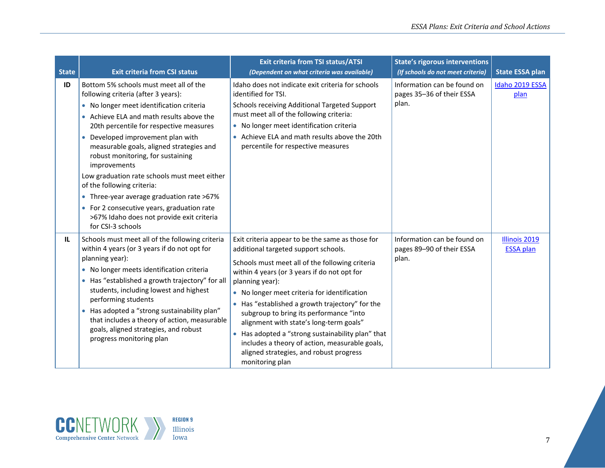| <b>State</b> | <b>Exit criteria from CSI status</b>                                                                                                                                                                                                                                                                                                                                                                                                                                                                                                                                                    | <b>Exit criteria from TSI status/ATSI</b><br>(Dependent on what criteria was available)                                                                                                                                                                                                                                                                                                                                                                                                                                                                                                            | <b>State's rigorous interventions</b><br>(If schools do not meet criteria) | <b>State ESSA plan</b>                   |
|--------------|-----------------------------------------------------------------------------------------------------------------------------------------------------------------------------------------------------------------------------------------------------------------------------------------------------------------------------------------------------------------------------------------------------------------------------------------------------------------------------------------------------------------------------------------------------------------------------------------|----------------------------------------------------------------------------------------------------------------------------------------------------------------------------------------------------------------------------------------------------------------------------------------------------------------------------------------------------------------------------------------------------------------------------------------------------------------------------------------------------------------------------------------------------------------------------------------------------|----------------------------------------------------------------------------|------------------------------------------|
| ID           | Bottom 5% schools must meet all of the<br>following criteria (after 3 years):<br>• No longer meet identification criteria<br>• Achieve ELA and math results above the<br>20th percentile for respective measures<br>Developed improvement plan with<br>$\bullet$<br>measurable goals, aligned strategies and<br>robust monitoring, for sustaining<br>improvements<br>Low graduation rate schools must meet either<br>of the following criteria:<br>• Three-year average graduation rate >67%<br>• For 2 consecutive years, graduation rate<br>>67% Idaho does not provide exit criteria | Idaho does not indicate exit criteria for schools<br>identified for TSI.<br>Schools receiving Additional Targeted Support<br>must meet all of the following criteria:<br>• No longer meet identification criteria<br>• Achieve ELA and math results above the 20th<br>percentile for respective measures                                                                                                                                                                                                                                                                                           | Information can be found on<br>pages 35-36 of their ESSA<br>plan.          | Idaho 2019 ESSA<br>plan                  |
| IL.          | for CSI-3 schools<br>Schools must meet all of the following criteria<br>within 4 years (or 3 years if do not opt for<br>planning year):<br>• No longer meets identification criteria<br>• Has "established a growth trajectory" for all<br>students, including lowest and highest<br>performing students<br>Has adopted a "strong sustainability plan"<br>$\bullet$<br>that includes a theory of action, measurable<br>goals, aligned strategies, and robust<br>progress monitoring plan                                                                                                | Exit criteria appear to be the same as those for<br>additional targeted support schools.<br>Schools must meet all of the following criteria<br>within 4 years (or 3 years if do not opt for<br>planning year):<br>• No longer meet criteria for identification<br>Has "established a growth trajectory" for the<br>$\bullet$<br>subgroup to bring its performance "into<br>alignment with state's long-term goals"<br>Has adopted a "strong sustainability plan" that<br>$\bullet$<br>includes a theory of action, measurable goals,<br>aligned strategies, and robust progress<br>monitoring plan | Information can be found on<br>pages 89-90 of their ESSA<br>plan.          | <b>Illinois 2019</b><br><b>ESSA plan</b> |

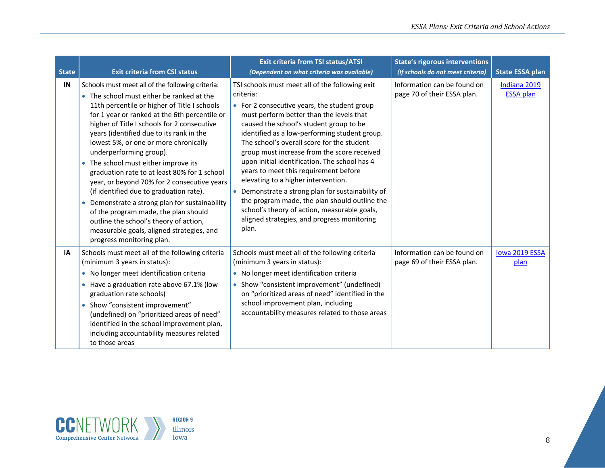| <b>State</b> | <b>Exit criteria from CSI status</b>                                                                                                                                                                                                                                                                                                                                                                                                                                                                                                                                                                                                                                                                                                                                   | <b>Exit criteria from TSI status/ATSI</b><br>(Dependent on what criteria was available)                                                                                                                                                                                                                                                                                                                                                                                                                                                                                                                                                                                                        | <b>State's rigorous interventions</b><br>(If schools do not meet criteria) | <b>State ESSA plan</b>           |
|--------------|------------------------------------------------------------------------------------------------------------------------------------------------------------------------------------------------------------------------------------------------------------------------------------------------------------------------------------------------------------------------------------------------------------------------------------------------------------------------------------------------------------------------------------------------------------------------------------------------------------------------------------------------------------------------------------------------------------------------------------------------------------------------|------------------------------------------------------------------------------------------------------------------------------------------------------------------------------------------------------------------------------------------------------------------------------------------------------------------------------------------------------------------------------------------------------------------------------------------------------------------------------------------------------------------------------------------------------------------------------------------------------------------------------------------------------------------------------------------------|----------------------------------------------------------------------------|----------------------------------|
| IN           | Schools must meet all of the following criteria:<br>• The school must either be ranked at the<br>11th percentile or higher of Title I schools<br>for 1 year or ranked at the 6th percentile or<br>higher of Title I schools for 2 consecutive<br>years (identified due to its rank in the<br>lowest 5%, or one or more chronically<br>underperforming group).<br>The school must either improve its<br>$\bullet$<br>graduation rate to at least 80% for 1 school<br>year, or beyond 70% for 2 consecutive years<br>(if identified due to graduation rate).<br>Demonstrate a strong plan for sustainability<br>of the program made, the plan should<br>outline the school's theory of action,<br>measurable goals, aligned strategies, and<br>progress monitoring plan. | TSI schools must meet all of the following exit<br>criteria:<br>• For 2 consecutive years, the student group<br>must perform better than the levels that<br>caused the school's student group to be<br>identified as a low-performing student group.<br>The school's overall score for the student<br>group must increase from the score received<br>upon initial identification. The school has 4<br>years to meet this requirement before<br>elevating to a higher intervention.<br>Demonstrate a strong plan for sustainability of<br>the program made, the plan should outline the<br>school's theory of action, measurable goals,<br>aligned strategies, and progress monitoring<br>plan. | Information can be found on<br>page 70 of their ESSA plan.                 | Indiana 2019<br><b>ESSA plan</b> |
| IA           | Schools must meet all of the following criteria<br>(minimum 3 years in status):<br>• No longer meet identification criteria<br>• Have a graduation rate above 67.1% (low<br>graduation rate schools)<br>• Show "consistent improvement"<br>(undefined) on "prioritized areas of need"<br>identified in the school improvement plan,<br>including accountability measures related<br>to those areas                                                                                                                                                                                                                                                                                                                                                                     | Schools must meet all of the following criteria<br>(minimum 3 years in status):<br>• No longer meet identification criteria<br>Show "consistent improvement" (undefined)<br>on "prioritized areas of need" identified in the<br>school improvement plan, including<br>accountability measures related to those areas                                                                                                                                                                                                                                                                                                                                                                           | Information can be found on<br>page 69 of their ESSA plan.                 | lowa 2019 ESSA<br>plan           |

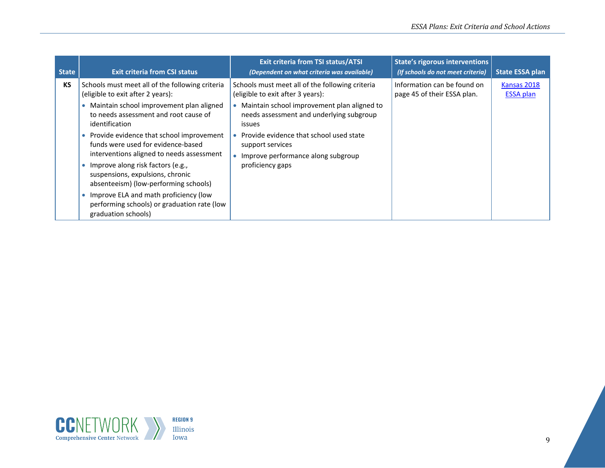| <b>State</b> | <b>Exit criteria from CSI status</b>                                                                                                                                                                                                                                                                                                                                                                | <b>Exit criteria from TSI status/ATSI</b><br>(Dependent on what criteria was available)                                                                                                                                                                                                                                                | <b>State's rigorous interventions</b><br>(If schools do not meet criteria) | <b>State ESSA plan</b>          |
|--------------|-----------------------------------------------------------------------------------------------------------------------------------------------------------------------------------------------------------------------------------------------------------------------------------------------------------------------------------------------------------------------------------------------------|----------------------------------------------------------------------------------------------------------------------------------------------------------------------------------------------------------------------------------------------------------------------------------------------------------------------------------------|----------------------------------------------------------------------------|---------------------------------|
| <b>KS</b>    | Schools must meet all of the following criteria<br>(eligible to exit after 2 years):<br>Maintain school improvement plan aligned<br>to needs assessment and root cause of<br>identification<br>Provide evidence that school improvement<br>funds were used for evidence-based<br>interventions aligned to needs assessment<br>Improve along risk factors (e.g.,<br>suspensions, expulsions, chronic | Schools must meet all of the following criteria<br>(eligible to exit after 3 years):<br>Maintain school improvement plan aligned to<br>$\bullet$<br>needs assessment and underlying subgroup<br><i>issues</i><br>Provide evidence that school used state<br>support services<br>Improve performance along subgroup<br>proficiency gaps | Information can be found on<br>page 45 of their ESSA plan.                 | Kansas 2018<br><b>ESSA plan</b> |
|              | absenteeism) (low-performing schools)<br>Improve ELA and math proficiency (low<br>performing schools) or graduation rate (low<br>graduation schools)                                                                                                                                                                                                                                                |                                                                                                                                                                                                                                                                                                                                        |                                                                            |                                 |

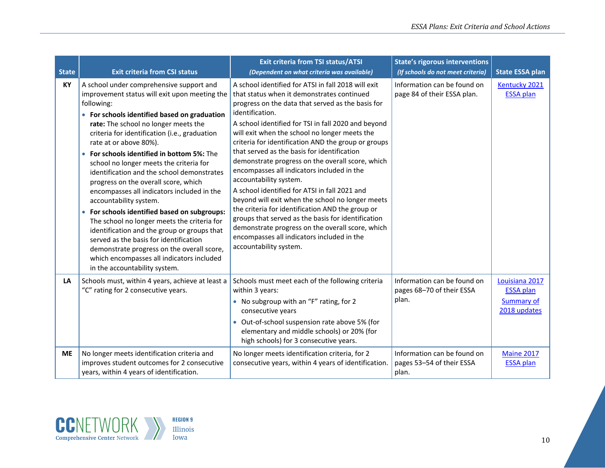| <b>State</b> | <b>Exit criteria from CSI status</b>                                                                                                                                                                                                                                                                                                                                                                                                                                                                                                                                                                                                                                                                                                                                                                                                                  | <b>Exit criteria from TSI status/ATSI</b><br>(Dependent on what criteria was available)                                                                                                                                                                                                                                                                                                                                                                                                                                                                                                                                                                                                                                                                                                                                                                        | <b>State's rigorous interventions</b><br>(If schools do not meet criteria) | <b>State ESSA plan</b>                                           |
|--------------|-------------------------------------------------------------------------------------------------------------------------------------------------------------------------------------------------------------------------------------------------------------------------------------------------------------------------------------------------------------------------------------------------------------------------------------------------------------------------------------------------------------------------------------------------------------------------------------------------------------------------------------------------------------------------------------------------------------------------------------------------------------------------------------------------------------------------------------------------------|----------------------------------------------------------------------------------------------------------------------------------------------------------------------------------------------------------------------------------------------------------------------------------------------------------------------------------------------------------------------------------------------------------------------------------------------------------------------------------------------------------------------------------------------------------------------------------------------------------------------------------------------------------------------------------------------------------------------------------------------------------------------------------------------------------------------------------------------------------------|----------------------------------------------------------------------------|------------------------------------------------------------------|
| KY           | A school under comprehensive support and<br>improvement status will exit upon meeting the<br>following:<br>• For schools identified based on graduation<br>rate: The school no longer meets the<br>criteria for identification (i.e., graduation<br>rate at or above 80%).<br>• For schools identified in bottom 5%: The<br>school no longer meets the criteria for<br>identification and the school demonstrates<br>progress on the overall score, which<br>encompasses all indicators included in the<br>accountability system.<br>• For schools identified based on subgroups:<br>The school no longer meets the criteria for<br>identification and the group or groups that<br>served as the basis for identification<br>demonstrate progress on the overall score,<br>which encompasses all indicators included<br>in the accountability system. | A school identified for ATSI in fall 2018 will exit<br>that status when it demonstrates continued<br>progress on the data that served as the basis for<br>identification.<br>A school identified for TSI in fall 2020 and beyond<br>will exit when the school no longer meets the<br>criteria for identification AND the group or groups<br>that served as the basis for identification<br>demonstrate progress on the overall score, which<br>encompasses all indicators included in the<br>accountability system.<br>A school identified for ATSI in fall 2021 and<br>beyond will exit when the school no longer meets<br>the criteria for identification AND the group or<br>groups that served as the basis for identification<br>demonstrate progress on the overall score, which<br>encompasses all indicators included in the<br>accountability system. | Information can be found on<br>page 84 of their ESSA plan.                 | Kentucky 2021<br><b>ESSA plan</b>                                |
| LA           | Schools must, within 4 years, achieve at least a<br>"C" rating for 2 consecutive years.                                                                                                                                                                                                                                                                                                                                                                                                                                                                                                                                                                                                                                                                                                                                                               | Schools must meet each of the following criteria<br>within 3 years:<br>• No subgroup with an "F" rating, for 2<br>consecutive years<br>• Out-of-school suspension rate above 5% (for<br>elementary and middle schools) or 20% (for<br>high schools) for 3 consecutive years.                                                                                                                                                                                                                                                                                                                                                                                                                                                                                                                                                                                   | Information can be found on<br>pages 68-70 of their ESSA<br>plan.          | Louisiana 2017<br><b>ESSA plan</b><br>Summary of<br>2018 updates |
| <b>ME</b>    | No longer meets identification criteria and<br>improves student outcomes for 2 consecutive<br>years, within 4 years of identification.                                                                                                                                                                                                                                                                                                                                                                                                                                                                                                                                                                                                                                                                                                                | No longer meets identification criteria, for 2<br>consecutive years, within 4 years of identification.                                                                                                                                                                                                                                                                                                                                                                                                                                                                                                                                                                                                                                                                                                                                                         | Information can be found on<br>pages 53-54 of their ESSA<br>plan.          | <b>Maine 2017</b><br><b>ESSA</b> plan                            |

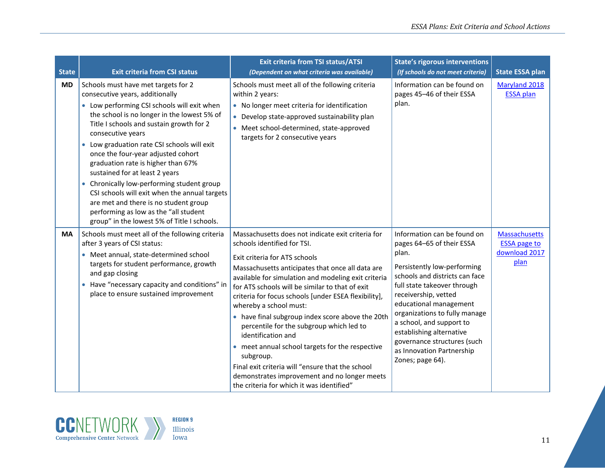| <b>State</b> | <b>Exit criteria from CSI status</b>                                                                                                                                                                                                                                                                                                                                                                                                                                                                                                                                                                                               | <b>Exit criteria from TSI status/ATSI</b><br>(Dependent on what criteria was available)                                                                                                                                                                                                                                                                                                                                                                                                                                                                                                                                                                                                                  | <b>State's rigorous interventions</b><br>(If schools do not meet criteria)                                                                                                                                                                                                                                                                                                                   | <b>State ESSA plan</b>                                               |
|--------------|------------------------------------------------------------------------------------------------------------------------------------------------------------------------------------------------------------------------------------------------------------------------------------------------------------------------------------------------------------------------------------------------------------------------------------------------------------------------------------------------------------------------------------------------------------------------------------------------------------------------------------|----------------------------------------------------------------------------------------------------------------------------------------------------------------------------------------------------------------------------------------------------------------------------------------------------------------------------------------------------------------------------------------------------------------------------------------------------------------------------------------------------------------------------------------------------------------------------------------------------------------------------------------------------------------------------------------------------------|----------------------------------------------------------------------------------------------------------------------------------------------------------------------------------------------------------------------------------------------------------------------------------------------------------------------------------------------------------------------------------------------|----------------------------------------------------------------------|
| <b>MD</b>    | Schools must have met targets for 2<br>consecutive years, additionally<br>• Low performing CSI schools will exit when<br>the school is no longer in the lowest 5% of<br>Title I schools and sustain growth for 2<br>consecutive years<br>• Low graduation rate CSI schools will exit<br>once the four-year adjusted cohort<br>graduation rate is higher than 67%<br>sustained for at least 2 years<br>• Chronically low-performing student group<br>CSI schools will exit when the annual targets<br>are met and there is no student group<br>performing as low as the "all student<br>group" in the lowest 5% of Title I schools. | Schools must meet all of the following criteria<br>within 2 years:<br>• No longer meet criteria for identification<br>Develop state-approved sustainability plan<br>• Meet school-determined, state-approved<br>targets for 2 consecutive years                                                                                                                                                                                                                                                                                                                                                                                                                                                          | Information can be found on<br>pages 45-46 of their ESSA<br>plan.                                                                                                                                                                                                                                                                                                                            | Maryland 2018<br><b>ESSA</b> plan                                    |
| <b>MA</b>    | Schools must meet all of the following criteria<br>after 3 years of CSI status:<br>• Meet annual, state-determined school<br>targets for student performance, growth<br>and gap closing<br>• Have "necessary capacity and conditions" in<br>place to ensure sustained improvement                                                                                                                                                                                                                                                                                                                                                  | Massachusetts does not indicate exit criteria for<br>schools identified for TSI.<br>Exit criteria for ATS schools<br>Massachusetts anticipates that once all data are<br>available for simulation and modeling exit criteria<br>for ATS schools will be similar to that of exit<br>criteria for focus schools [under ESEA flexibility],<br>whereby a school must:<br>• have final subgroup index score above the 20th<br>percentile for the subgroup which led to<br>identification and<br>• meet annual school targets for the respective<br>subgroup.<br>Final exit criteria will "ensure that the school<br>demonstrates improvement and no longer meets<br>the criteria for which it was identified" | Information can be found on<br>pages 64-65 of their ESSA<br>plan.<br>Persistently low-performing<br>schools and districts can face<br>full state takeover through<br>receivership, vetted<br>educational management<br>organizations to fully manage<br>a school, and support to<br>establishing alternative<br>governance structures (such<br>as Innovation Partnership<br>Zones; page 64). | <b>Massachusetts</b><br><b>ESSA page to</b><br>download 2017<br>plan |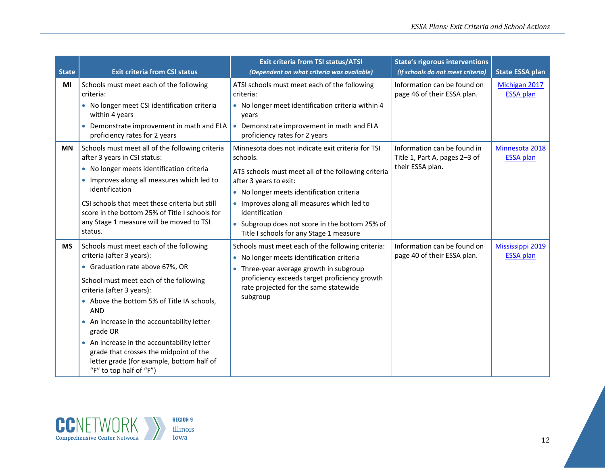| <b>State</b> | <b>Exit criteria from CSI status</b>                                                                                                                                                                                                                                                                                                                                                                                                                             | <b>Exit criteria from TSI status/ATSI</b><br>(Dependent on what criteria was available)                                                                                                                                                                                                                                                                | <b>State's rigorous interventions</b><br>(If schools do not meet criteria)       | <b>State ESSA plan</b>               |
|--------------|------------------------------------------------------------------------------------------------------------------------------------------------------------------------------------------------------------------------------------------------------------------------------------------------------------------------------------------------------------------------------------------------------------------------------------------------------------------|--------------------------------------------------------------------------------------------------------------------------------------------------------------------------------------------------------------------------------------------------------------------------------------------------------------------------------------------------------|----------------------------------------------------------------------------------|--------------------------------------|
| MI           | Schools must meet each of the following<br>criteria:<br>• No longer meet CSI identification criteria<br>within 4 years<br>Demonstrate improvement in math and ELA<br>$\bullet$<br>proficiency rates for 2 years                                                                                                                                                                                                                                                  | ATSI schools must meet each of the following<br>criteria:<br>• No longer meet identification criteria within 4<br>years<br>Demonstrate improvement in math and ELA<br>$\bullet$<br>proficiency rates for 2 years                                                                                                                                       | Information can be found on<br>page 46 of their ESSA plan.                       | Michigan 2017<br><b>ESSA</b> plan    |
| <b>MN</b>    | Schools must meet all of the following criteria<br>after 3 years in CSI status:<br>• No longer meets identification criteria<br>Improves along all measures which led to<br>identification<br>CSI schools that meet these criteria but still<br>score in the bottom 25% of Title I schools for<br>any Stage 1 measure will be moved to TSI<br>status.                                                                                                            | Minnesota does not indicate exit criteria for TSI<br>schools.<br>ATS schools must meet all of the following criteria<br>after 3 years to exit:<br>No longer meets identification criteria<br>• Improves along all measures which led to<br>identification<br>• Subgroup does not score in the bottom 25% of<br>Title I schools for any Stage 1 measure | Information can be found in<br>Title 1, Part A, pages 2-3 of<br>their ESSA plan. | Minnesota 2018<br><b>ESSA plan</b>   |
| <b>MS</b>    | Schools must meet each of the following<br>criteria (after 3 years):<br>• Graduation rate above 67%, OR<br>School must meet each of the following<br>criteria (after 3 years):<br>• Above the bottom 5% of Title IA schools,<br><b>AND</b><br>An increase in the accountability letter<br>grade OR<br>An increase in the accountability letter<br>grade that crosses the midpoint of the<br>letter grade (for example, bottom half of<br>"F" to top half of "F") | Schools must meet each of the following criteria:<br>No longer meets identification criteria<br>Three-year average growth in subgroup<br>$\bullet$<br>proficiency exceeds target proficiency growth<br>rate projected for the same statewide<br>subgroup                                                                                               | Information can be found on<br>page 40 of their ESSA plan.                       | Mississippi 2019<br><b>ESSA</b> plan |

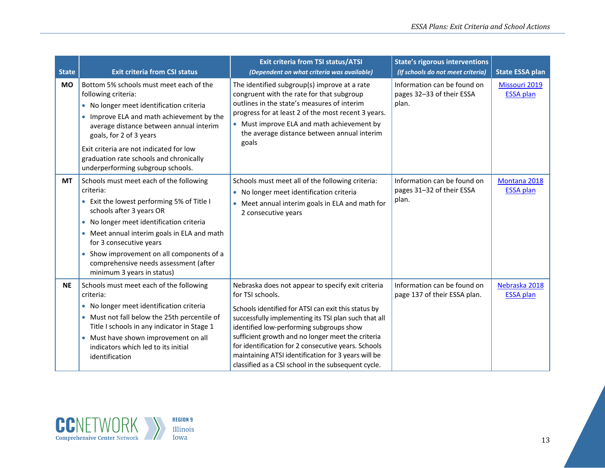| <b>State</b> | <b>Exit criteria from CSI status</b>                                                                                                                                                                                                                                                                                                                                     | <b>Exit criteria from TSI status/ATSI</b><br>(Dependent on what criteria was available)                                                                                                                                                                                                                                                                                                                                                                    | <b>State's rigorous interventions</b><br>(If schools do not meet criteria) | <b>State ESSA plan</b>            |
|--------------|--------------------------------------------------------------------------------------------------------------------------------------------------------------------------------------------------------------------------------------------------------------------------------------------------------------------------------------------------------------------------|------------------------------------------------------------------------------------------------------------------------------------------------------------------------------------------------------------------------------------------------------------------------------------------------------------------------------------------------------------------------------------------------------------------------------------------------------------|----------------------------------------------------------------------------|-----------------------------------|
| <b>MO</b>    | Bottom 5% schools must meet each of the<br>following criteria:<br>• No longer meet identification criteria<br>Improve ELA and math achievement by the<br>average distance between annual interim<br>goals, for 2 of 3 years<br>Exit criteria are not indicated for low<br>graduation rate schools and chronically<br>underperforming subgroup schools.                   | The identified subgroup(s) improve at a rate<br>congruent with the rate for that subgroup<br>outlines in the state's measures of interim<br>progress for at least 2 of the most recent 3 years.<br>• Must improve ELA and math achievement by<br>the average distance between annual interim<br>goals                                                                                                                                                      | Information can be found on<br>pages 32-33 of their ESSA<br>plan.          | Missouri 2019<br><b>ESSA</b> plan |
| <b>MT</b>    | Schools must meet each of the following<br>criteria:<br>• Exit the lowest performing 5% of Title I<br>schools after 3 years OR<br>• No longer meet identification criteria<br>• Meet annual interim goals in ELA and math<br>for 3 consecutive years<br>• Show improvement on all components of a<br>comprehensive needs assessment (after<br>minimum 3 years in status) | Schools must meet all of the following criteria:<br>No longer meet identification criteria<br>$\bullet$<br>• Meet annual interim goals in ELA and math for<br>2 consecutive years                                                                                                                                                                                                                                                                          | Information can be found on<br>pages 31-32 of their ESSA<br>plan.          | Montana 2018<br><b>ESSA plan</b>  |
| <b>NE</b>    | Schools must meet each of the following<br>criteria:<br>• No longer meet identification criteria<br>• Must not fall below the 25th percentile of<br>Title I schools in any indicator in Stage 1<br>Must have shown improvement on all<br>$\bullet$<br>indicators which led to its initial<br>identification                                                              | Nebraska does not appear to specify exit criteria<br>for TSI schools.<br>Schools identified for ATSI can exit this status by<br>successfully implementing its TSI plan such that all<br>identified low-performing subgroups show<br>sufficient growth and no longer meet the criteria<br>for identification for 2 consecutive years. Schools<br>maintaining ATSI identification for 3 years will be<br>classified as a CSI school in the subsequent cycle. | Information can be found on<br>page 137 of their ESSA plan.                | Nebraska 2018<br><b>ESSA</b> plan |

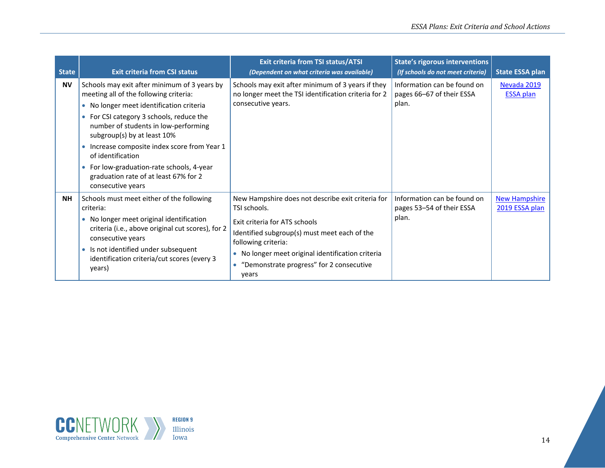| <b>State</b> | <b>Exit criteria from CSI status</b>                                                                                                                                                                                                                                                                                                                                                                                            | <b>Exit criteria from TSI status/ATSI</b><br>(Dependent on what criteria was available)                                                                                                                                                                                           | <b>State's rigorous interventions</b><br>(If schools do not meet criteria) | <b>State ESSA plan</b>                 |
|--------------|---------------------------------------------------------------------------------------------------------------------------------------------------------------------------------------------------------------------------------------------------------------------------------------------------------------------------------------------------------------------------------------------------------------------------------|-----------------------------------------------------------------------------------------------------------------------------------------------------------------------------------------------------------------------------------------------------------------------------------|----------------------------------------------------------------------------|----------------------------------------|
| <b>NV</b>    | Schools may exit after minimum of 3 years by<br>meeting all of the following criteria:<br>• No longer meet identification criteria<br>For CSI category 3 schools, reduce the<br>number of students in low-performing<br>subgroup(s) by at least 10%<br>Increase composite index score from Year 1<br>of identification<br>For low-graduation-rate schools, 4-year<br>graduation rate of at least 67% for 2<br>consecutive years | Schools may exit after minimum of 3 years if they<br>no longer meet the TSI identification criteria for 2<br>consecutive years.                                                                                                                                                   | Information can be found on<br>pages 66-67 of their ESSA<br>plan.          | Nevada 2019<br><b>ESSA plan</b>        |
| <b>NH</b>    | Schools must meet either of the following<br>criteria:<br>No longer meet original identification<br>criteria (i.e., above original cut scores), for 2<br>consecutive years<br>Is not identified under subsequent<br>$\bullet$<br>identification criteria/cut scores (every 3<br>years)                                                                                                                                          | New Hampshire does not describe exit criteria for<br>TSI schools.<br>Exit criteria for ATS schools<br>Identified subgroup(s) must meet each of the<br>following criteria:<br>No longer meet original identification criteria<br>"Demonstrate progress" for 2 consecutive<br>years | Information can be found on<br>pages 53-54 of their ESSA<br>plan.          | <b>New Hampshire</b><br>2019 ESSA plan |

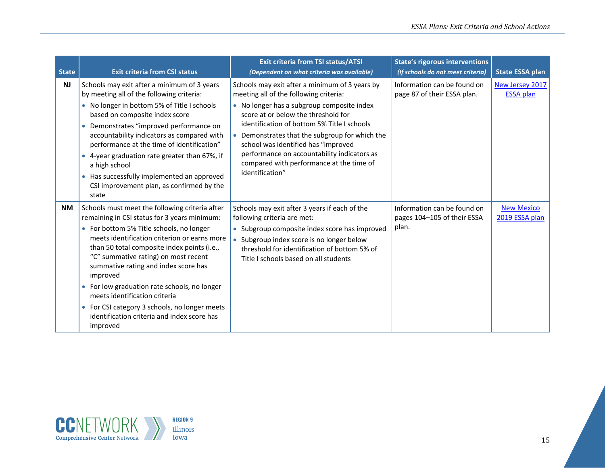| <b>State</b> | <b>Exit criteria from CSI status</b>                                                                                                                                                                                                                                                                                                                                                                                                                                                                                               | <b>Exit criteria from TSI status/ATSI</b><br>(Dependent on what criteria was available)                                                                                                                                                                                                                                                                                                                                           | <b>State's rigorous interventions</b><br>(If schools do not meet criteria) | <b>State ESSA plan</b>              |
|--------------|------------------------------------------------------------------------------------------------------------------------------------------------------------------------------------------------------------------------------------------------------------------------------------------------------------------------------------------------------------------------------------------------------------------------------------------------------------------------------------------------------------------------------------|-----------------------------------------------------------------------------------------------------------------------------------------------------------------------------------------------------------------------------------------------------------------------------------------------------------------------------------------------------------------------------------------------------------------------------------|----------------------------------------------------------------------------|-------------------------------------|
| <b>NJ</b>    | Schools may exit after a minimum of 3 years<br>by meeting all of the following criteria:<br>• No longer in bottom 5% of Title I schools<br>based on composite index score<br>Demonstrates "improved performance on<br>$\bullet$<br>accountability indicators as compared with<br>performance at the time of identification"<br>• 4-year graduation rate greater than 67%, if<br>a high school<br>• Has successfully implemented an approved<br>CSI improvement plan, as confirmed by the<br>state                                  | Schools may exit after a minimum of 3 years by<br>meeting all of the following criteria:<br>• No longer has a subgroup composite index<br>score at or below the threshold for<br>identification of bottom 5% Title I schools<br>Demonstrates that the subgroup for which the<br>school was identified has "improved<br>performance on accountability indicators as<br>compared with performance at the time of<br>identification" | Information can be found on<br>page 87 of their ESSA plan.                 | New Jersey 2017<br><b>ESSA plan</b> |
| <b>NM</b>    | Schools must meet the following criteria after<br>remaining in CSI status for 3 years minimum:<br>• For bottom 5% Title schools, no longer<br>meets identification criterion or earns more<br>than 50 total composite index points (i.e.,<br>"C" summative rating) on most recent<br>summative rating and index score has<br>improved<br>• For low graduation rate schools, no longer<br>meets identification criteria<br>• For CSI category 3 schools, no longer meets<br>identification criteria and index score has<br>improved | Schools may exit after 3 years if each of the<br>following criteria are met:<br>• Subgroup composite index score has improved<br>Subgroup index score is no longer below<br>threshold for identification of bottom 5% of<br>Title I schools based on all students                                                                                                                                                                 | Information can be found on<br>pages 104-105 of their ESSA<br>plan.        | <b>New Mexico</b><br>2019 ESSA plan |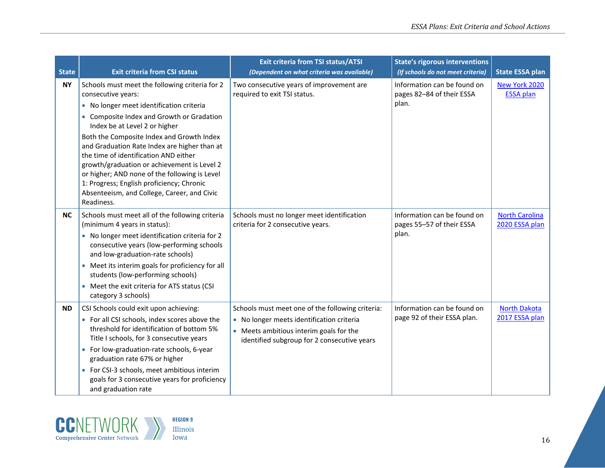| <b>State</b> | <b>Exit criteria from CSI status</b>                                                                                                                                                                                                                                                                                                                                                                                                                                                                                                           | <b>Exit criteria from TSI status/ATSI</b><br>(Dependent on what criteria was available)                                                                                                 | <b>State's rigorous interventions</b><br>(If schools do not meet criteria) | <b>State ESSA plan</b>                  |
|--------------|------------------------------------------------------------------------------------------------------------------------------------------------------------------------------------------------------------------------------------------------------------------------------------------------------------------------------------------------------------------------------------------------------------------------------------------------------------------------------------------------------------------------------------------------|-----------------------------------------------------------------------------------------------------------------------------------------------------------------------------------------|----------------------------------------------------------------------------|-----------------------------------------|
| <b>NY</b>    | Schools must meet the following criteria for 2<br>consecutive years:<br>• No longer meet identification criteria<br>• Composite Index and Growth or Gradation<br>Index be at Level 2 or higher<br>Both the Composite Index and Growth Index<br>and Graduation Rate Index are higher than at<br>the time of identification AND either<br>growth/graduation or achievement is Level 2<br>or higher; AND none of the following is Level<br>1: Progress; English proficiency; Chronic<br>Absenteeism, and College, Career, and Civic<br>Readiness. | Two consecutive years of improvement are<br>required to exit TSI status.                                                                                                                | Information can be found on<br>pages 82-84 of their ESSA<br>plan.          | New York 2020<br><b>ESSA plan</b>       |
| <b>NC</b>    | Schools must meet all of the following criteria<br>(minimum 4 years in status):<br>• No longer meet identification criteria for 2<br>consecutive years (low-performing schools<br>and low-graduation-rate schools)<br>• Meet its interim goals for proficiency for all<br>students (low-performing schools)<br>• Meet the exit criteria for ATS status (CSI<br>category 3 schools)                                                                                                                                                             | Schools must no longer meet identification<br>criteria for 2 consecutive years.                                                                                                         | Information can be found on<br>pages 55-57 of their ESSA<br>plan.          | <b>North Carolina</b><br>2020 ESSA plan |
| <b>ND</b>    | CSI Schools could exit upon achieving:<br>• For all CSI schools, index scores above the<br>threshold for identification of bottom 5%<br>Title I schools, for 3 consecutive years<br>• For low-graduation-rate schools, 6-year<br>graduation rate 67% or higher<br>• For CSI-3 schools, meet ambitious interim<br>goals for 3 consecutive years for proficiency<br>and graduation rate                                                                                                                                                          | Schools must meet one of the following criteria:<br>• No longer meets identification criteria<br>• Meets ambitious interim goals for the<br>identified subgroup for 2 consecutive years | Information can be found on<br>page 92 of their ESSA plan.                 | <b>North Dakota</b><br>2017 ESSA plan   |

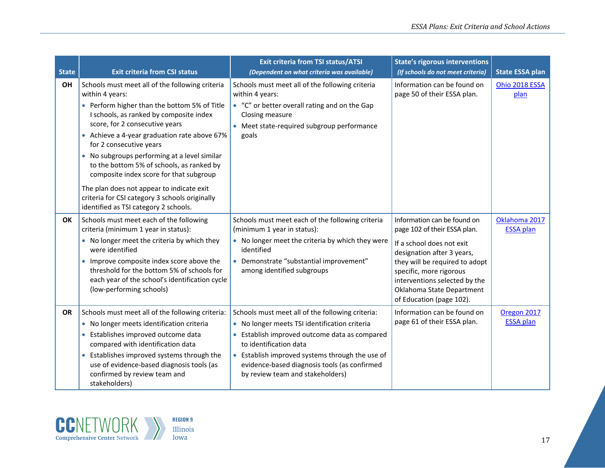| <b>State</b> | <b>Exit criteria from CSI status</b>                                                                                                                                                                                                                                                                                                                                                                                                                                                                            | <b>Exit criteria from TSI status/ATSI</b><br>(Dependent on what criteria was available)                                                                                                                                                                                                                           | <b>State's rigorous interventions</b><br>(If schools do not meet criteria)                                                                                                                                                                                                    | <b>State ESSA plan</b>            |
|--------------|-----------------------------------------------------------------------------------------------------------------------------------------------------------------------------------------------------------------------------------------------------------------------------------------------------------------------------------------------------------------------------------------------------------------------------------------------------------------------------------------------------------------|-------------------------------------------------------------------------------------------------------------------------------------------------------------------------------------------------------------------------------------------------------------------------------------------------------------------|-------------------------------------------------------------------------------------------------------------------------------------------------------------------------------------------------------------------------------------------------------------------------------|-----------------------------------|
| OH           | Schools must meet all of the following criteria<br>within 4 years:<br>• Perform higher than the bottom 5% of Title<br>I schools, as ranked by composite index<br>score, for 2 consecutive years<br>• Achieve a 4-year graduation rate above 67%<br>for 2 consecutive years<br>No subgroups performing at a level similar<br>to the bottom 5% of schools, as ranked by<br>composite index score for that subgroup<br>The plan does not appear to indicate exit<br>criteria for CSI category 3 schools originally | Schools must meet all of the following criteria<br>within 4 years:<br>• "C" or better overall rating and on the Gap<br>Closing measure<br>Meet state-required subgroup performance<br>goals                                                                                                                       | Information can be found on<br>page 50 of their ESSA plan.                                                                                                                                                                                                                    | Ohio 2018 ESSA<br>plan            |
| OK           | identified as TSI category 2 schools.<br>Schools must meet each of the following<br>criteria (minimum 1 year in status):<br>• No longer meet the criteria by which they<br>were identified<br>Improve composite index score above the<br>$\bullet$<br>threshold for the bottom 5% of schools for<br>each year of the school's identification cycle<br>(low-performing schools)                                                                                                                                  | Schools must meet each of the following criteria<br>(minimum 1 year in status):<br>• No longer meet the criteria by which they were<br>identified<br>• Demonstrate "substantial improvement"<br>among identified subgroups                                                                                        | Information can be found on<br>page 102 of their ESSA plan.<br>If a school does not exit<br>designation after 3 years,<br>they will be required to adopt<br>specific, more rigorous<br>interventions selected by the<br>Oklahoma State Department<br>of Education (page 102). | Oklahoma 2017<br><b>ESSA plan</b> |
| <b>OR</b>    | Schools must meet all of the following criteria:<br>• No longer meets identification criteria<br>Establishes improved outcome data<br>compared with identification data<br>Establishes improved systems through the<br>$\bullet$<br>use of evidence-based diagnosis tools (as<br>confirmed by review team and<br>stakeholders)                                                                                                                                                                                  | Schools must meet all of the following criteria:<br>• No longer meets TSI identification criteria<br>Establish improved outcome data as compared<br>to identification data<br>• Establish improved systems through the use of<br>evidence-based diagnosis tools (as confirmed<br>by review team and stakeholders) | Information can be found on<br>page 61 of their ESSA plan.                                                                                                                                                                                                                    | Oregon 2017<br><b>ESSA</b> plan   |

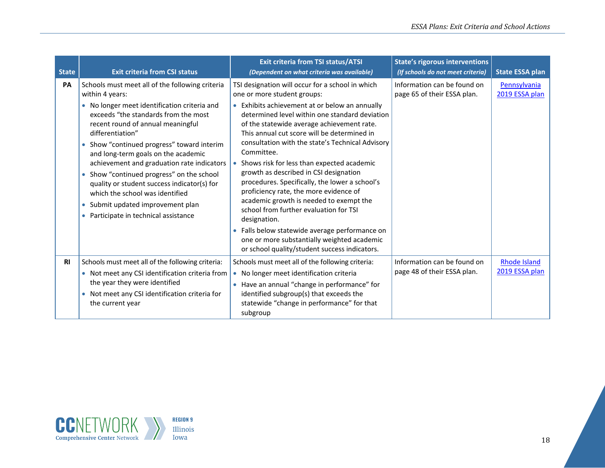| <b>State</b> | <b>Exit criteria from CSI status</b>                                                                                                                                                                                                                                                                                                                                                                                                                                                                                                                                | <b>Exit criteria from TSI status/ATSI</b><br>(Dependent on what criteria was available)                                                                                                                                                                                                                                                                                                                                                                                                                                                                                                                                                                                                                                                                                                                  | <b>State's rigorous interventions</b><br>(If schools do not meet criteria) | <b>State ESSA plan</b>                |
|--------------|---------------------------------------------------------------------------------------------------------------------------------------------------------------------------------------------------------------------------------------------------------------------------------------------------------------------------------------------------------------------------------------------------------------------------------------------------------------------------------------------------------------------------------------------------------------------|----------------------------------------------------------------------------------------------------------------------------------------------------------------------------------------------------------------------------------------------------------------------------------------------------------------------------------------------------------------------------------------------------------------------------------------------------------------------------------------------------------------------------------------------------------------------------------------------------------------------------------------------------------------------------------------------------------------------------------------------------------------------------------------------------------|----------------------------------------------------------------------------|---------------------------------------|
| <b>PA</b>    | Schools must meet all of the following criteria<br>within 4 years:<br>• No longer meet identification criteria and<br>exceeds "the standards from the most<br>recent round of annual meaningful<br>differentiation"<br>• Show "continued progress" toward interim<br>and long-term goals on the academic<br>achievement and graduation rate indicators<br>• Show "continued progress" on the school<br>quality or student success indicator(s) for<br>which the school was identified<br>• Submit updated improvement plan<br>• Participate in technical assistance | TSI designation will occur for a school in which<br>one or more student groups:<br>Exhibits achievement at or below an annually<br>determined level within one standard deviation<br>of the statewide average achievement rate.<br>This annual cut score will be determined in<br>consultation with the state's Technical Advisory<br>Committee.<br>Shows risk for less than expected academic<br>$\bullet$<br>growth as described in CSI designation<br>procedures. Specifically, the lower a school's<br>proficiency rate, the more evidence of<br>academic growth is needed to exempt the<br>school from further evaluation for TSI<br>designation.<br>• Falls below statewide average performance on<br>one or more substantially weighted academic<br>or school quality/student success indicators. | Information can be found on<br>page 65 of their ESSA plan.                 | Pennsylvania<br>2019 ESSA plan        |
| <b>RI</b>    | Schools must meet all of the following criteria:<br>• Not meet any CSI identification criteria from<br>the year they were identified<br>• Not meet any CSI identification criteria for<br>the current year                                                                                                                                                                                                                                                                                                                                                          | Schools must meet all of the following criteria:<br>No longer meet identification criteria<br>$\bullet$<br>• Have an annual "change in performance" for<br>identified subgroup(s) that exceeds the<br>statewide "change in performance" for that<br>subgroup                                                                                                                                                                                                                                                                                                                                                                                                                                                                                                                                             | Information can be found on<br>page 48 of their ESSA plan.                 | <b>Rhode Island</b><br>2019 ESSA plan |

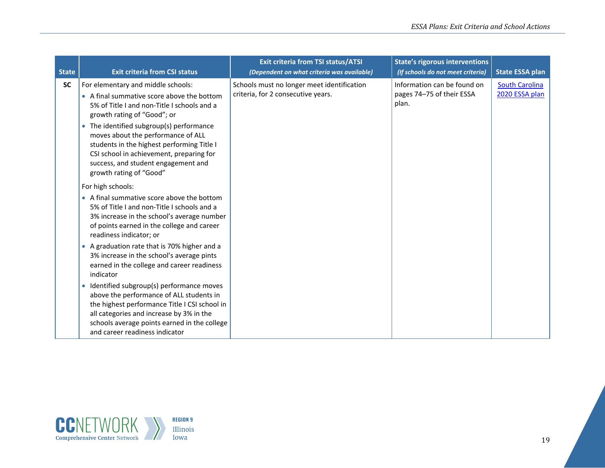| <b>State</b> | <b>Exit criteria from CSI status</b>                                                                                                                                                                                                                                  | <b>Exit criteria from TSI status/ATSI</b><br>(Dependent on what criteria was available) | <b>State's rigorous interventions</b><br>(If schools do not meet criteria) | <b>State ESSA plan</b>                  |
|--------------|-----------------------------------------------------------------------------------------------------------------------------------------------------------------------------------------------------------------------------------------------------------------------|-----------------------------------------------------------------------------------------|----------------------------------------------------------------------------|-----------------------------------------|
| <b>SC</b>    | For elementary and middle schools:<br>• A final summative score above the bottom<br>5% of Title I and non-Title I schools and a<br>growth rating of "Good"; or                                                                                                        | Schools must no longer meet identification<br>criteria, for 2 consecutive years.        | Information can be found on<br>pages 74-75 of their ESSA<br>plan.          | <b>South Carolina</b><br>2020 ESSA plan |
|              | • The identified subgroup(s) performance<br>moves about the performance of ALL<br>students in the highest performing Title I<br>CSI school in achievement, preparing for<br>success, and student engagement and<br>growth rating of "Good"                            |                                                                                         |                                                                            |                                         |
|              | For high schools:<br>• A final summative score above the bottom<br>5% of Title I and non-Title I schools and a<br>3% increase in the school's average number<br>of points earned in the college and career<br>readiness indicator; or                                 |                                                                                         |                                                                            |                                         |
|              | A graduation rate that is 70% higher and a<br>3% increase in the school's average pints<br>earned in the college and career readiness<br>indicator                                                                                                                    |                                                                                         |                                                                            |                                         |
|              | • Identified subgroup(s) performance moves<br>above the performance of ALL students in<br>the highest performance Title I CSI school in<br>all categories and increase by 3% in the<br>schools average points earned in the college<br>and career readiness indicator |                                                                                         |                                                                            |                                         |

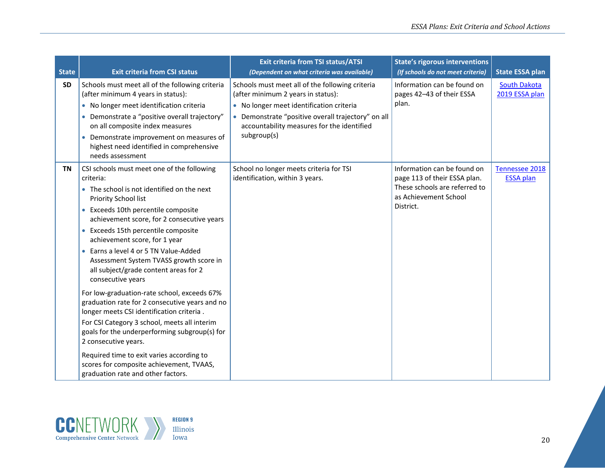| <b>State</b> | <b>Exit criteria from CSI status</b>                                                                                                                                                                                                                                                                                                                                                                                                                                                                                                                                                                                                                                                                                                                                                                                                                        | <b>Exit criteria from TSI status/ATSI</b><br>(Dependent on what criteria was available)                                                                                                                                                              | <b>State's rigorous interventions</b><br>(If schools do not meet criteria)                                                         | <b>State ESSA plan</b>                |
|--------------|-------------------------------------------------------------------------------------------------------------------------------------------------------------------------------------------------------------------------------------------------------------------------------------------------------------------------------------------------------------------------------------------------------------------------------------------------------------------------------------------------------------------------------------------------------------------------------------------------------------------------------------------------------------------------------------------------------------------------------------------------------------------------------------------------------------------------------------------------------------|------------------------------------------------------------------------------------------------------------------------------------------------------------------------------------------------------------------------------------------------------|------------------------------------------------------------------------------------------------------------------------------------|---------------------------------------|
| <b>SD</b>    | Schools must meet all of the following criteria<br>(after minimum 4 years in status):<br>• No longer meet identification criteria<br>• Demonstrate a "positive overall trajectory"<br>on all composite index measures<br>Demonstrate improvement on measures of<br>highest need identified in comprehensive<br>needs assessment                                                                                                                                                                                                                                                                                                                                                                                                                                                                                                                             | Schools must meet all of the following criteria<br>(after minimum 2 years in status):<br>• No longer meet identification criteria<br>• Demonstrate "positive overall trajectory" on all<br>accountability measures for the identified<br>subgroup(s) | Information can be found on<br>pages 42-43 of their ESSA<br>plan.                                                                  | <b>South Dakota</b><br>2019 ESSA plan |
| <b>TN</b>    | CSI schools must meet one of the following<br>criteria:<br>• The school is not identified on the next<br>Priority School list<br>Exceeds 10th percentile composite<br>$\bullet$<br>achievement score, for 2 consecutive years<br>• Exceeds 15th percentile composite<br>achievement score, for 1 year<br>Earns a level 4 or 5 TN Value-Added<br>Assessment System TVASS growth score in<br>all subject/grade content areas for 2<br>consecutive years<br>For low-graduation-rate school, exceeds 67%<br>graduation rate for 2 consecutive years and no<br>longer meets CSI identification criteria.<br>For CSI Category 3 school, meets all interim<br>goals for the underperforming subgroup(s) for<br>2 consecutive years.<br>Required time to exit varies according to<br>scores for composite achievement, TVAAS,<br>graduation rate and other factors. | School no longer meets criteria for TSI<br>identification, within 3 years.                                                                                                                                                                           | Information can be found on<br>page 113 of their ESSA plan.<br>These schools are referred to<br>as Achievement School<br>District. | Tennessee 2018<br><b>ESSA plan</b>    |

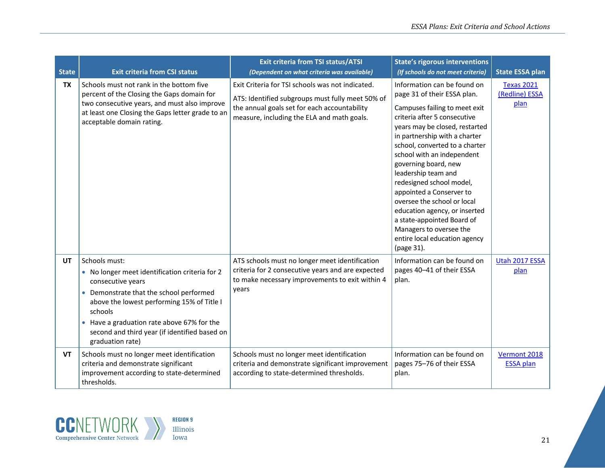| <b>State</b> | <b>Exit criteria from CSI status</b>                                                                                                                                                                                                                                                                        | <b>Exit criteria from TSI status/ATSI</b><br>(Dependent on what criteria was available)                                                                                                            | <b>State's rigorous interventions</b><br>(If schools do not meet criteria)                                                                                                                                                                                                                                                                                                                                                                                                                                                                    | <b>State ESSA plan</b>                      |
|--------------|-------------------------------------------------------------------------------------------------------------------------------------------------------------------------------------------------------------------------------------------------------------------------------------------------------------|----------------------------------------------------------------------------------------------------------------------------------------------------------------------------------------------------|-----------------------------------------------------------------------------------------------------------------------------------------------------------------------------------------------------------------------------------------------------------------------------------------------------------------------------------------------------------------------------------------------------------------------------------------------------------------------------------------------------------------------------------------------|---------------------------------------------|
| <b>TX</b>    | Schools must not rank in the bottom five<br>percent of the Closing the Gaps domain for<br>two consecutive years, and must also improve<br>at least one Closing the Gaps letter grade to an<br>acceptable domain rating.                                                                                     | Exit Criteria for TSI schools was not indicated.<br>ATS: Identified subgroups must fully meet 50% of<br>the annual goals set for each accountability<br>measure, including the ELA and math goals. | Information can be found on<br>page 31 of their ESSA plan.<br>Campuses failing to meet exit<br>criteria after 5 consecutive<br>years may be closed, restarted<br>in partnership with a charter<br>school, converted to a charter<br>school with an independent<br>governing board, new<br>leadership team and<br>redesigned school model,<br>appointed a Conserver to<br>oversee the school or local<br>education agency, or inserted<br>a state-appointed Board of<br>Managers to oversee the<br>entire local education agency<br>(page 31). | <b>Texas 2021</b><br>(Redline) ESSA<br>plan |
| UT           | Schools must:<br>• No longer meet identification criteria for 2<br>consecutive years<br>• Demonstrate that the school performed<br>above the lowest performing 15% of Title I<br>schools<br>• Have a graduation rate above 67% for the<br>second and third year (if identified based on<br>graduation rate) | ATS schools must no longer meet identification<br>criteria for 2 consecutive years and are expected<br>to make necessary improvements to exit within 4<br>years                                    | Information can be found on<br>pages 40-41 of their ESSA<br>plan.                                                                                                                                                                                                                                                                                                                                                                                                                                                                             | Utah 2017 ESSA<br>plan                      |
| VT           | Schools must no longer meet identification<br>criteria and demonstrate significant<br>improvement according to state-determined<br>thresholds.                                                                                                                                                              | Schools must no longer meet identification<br>criteria and demonstrate significant improvement<br>according to state-determined thresholds.                                                        | Information can be found on<br>pages 75-76 of their ESSA<br>plan.                                                                                                                                                                                                                                                                                                                                                                                                                                                                             | Vermont 2018<br><b>ESSA</b> plan            |

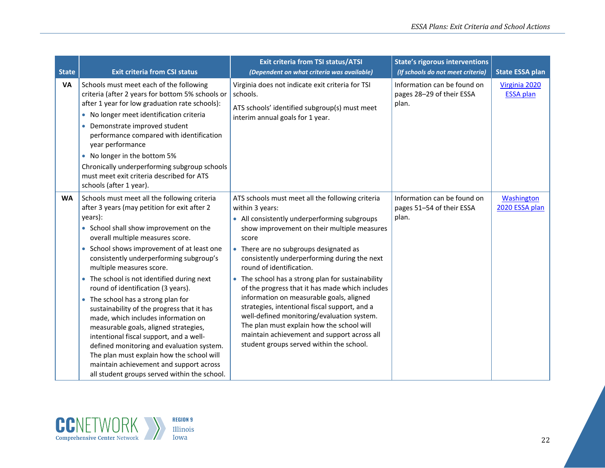| <b>State</b> | <b>Exit criteria from CSI status</b>                                                                                                                                                                                                                                                                                                                                                                                                                                                                                                                                                                                                                                                                                                                                                                        | <b>Exit criteria from TSI status/ATSI</b><br>(Dependent on what criteria was available)                                                                                                                                                                                                                                                                                                                                                                                                                                                                                                                                                                                                      | <b>State's rigorous interventions</b><br>(If schools do not meet criteria) | <b>State ESSA plan</b>            |
|--------------|-------------------------------------------------------------------------------------------------------------------------------------------------------------------------------------------------------------------------------------------------------------------------------------------------------------------------------------------------------------------------------------------------------------------------------------------------------------------------------------------------------------------------------------------------------------------------------------------------------------------------------------------------------------------------------------------------------------------------------------------------------------------------------------------------------------|----------------------------------------------------------------------------------------------------------------------------------------------------------------------------------------------------------------------------------------------------------------------------------------------------------------------------------------------------------------------------------------------------------------------------------------------------------------------------------------------------------------------------------------------------------------------------------------------------------------------------------------------------------------------------------------------|----------------------------------------------------------------------------|-----------------------------------|
| <b>VA</b>    | Schools must meet each of the following<br>criteria (after 2 years for bottom 5% schools or<br>after 1 year for low graduation rate schools):<br>• No longer meet identification criteria<br>Demonstrate improved student<br>$\bullet$<br>performance compared with identification<br>year performance<br>• No longer in the bottom 5%<br>Chronically underperforming subgroup schools<br>must meet exit criteria described for ATS<br>schools (after 1 year).                                                                                                                                                                                                                                                                                                                                              | Virginia does not indicate exit criteria for TSI<br>schools.<br>ATS schools' identified subgroup(s) must meet<br>interim annual goals for 1 year.                                                                                                                                                                                                                                                                                                                                                                                                                                                                                                                                            | Information can be found on<br>pages 28-29 of their ESSA<br>plan.          | Virginia 2020<br><b>ESSA plan</b> |
| <b>WA</b>    | Schools must meet all the following criteria<br>after 3 years (may petition for exit after 2<br>years):<br>• School shall show improvement on the<br>overall multiple measures score.<br>• School shows improvement of at least one<br>consistently underperforming subgroup's<br>multiple measures score.<br>The school is not identified during next<br>$\bullet$<br>round of identification (3 years).<br>The school has a strong plan for<br>sustainability of the progress that it has<br>made, which includes information on<br>measurable goals, aligned strategies,<br>intentional fiscal support, and a well-<br>defined monitoring and evaluation system.<br>The plan must explain how the school will<br>maintain achievement and support across<br>all student groups served within the school. | ATS schools must meet all the following criteria<br>within 3 years:<br>• All consistently underperforming subgroups<br>show improvement on their multiple measures<br>score<br>• There are no subgroups designated as<br>consistently underperforming during the next<br>round of identification.<br>• The school has a strong plan for sustainability<br>of the progress that it has made which includes<br>information on measurable goals, aligned<br>strategies, intentional fiscal support, and a<br>well-defined monitoring/evaluation system.<br>The plan must explain how the school will<br>maintain achievement and support across all<br>student groups served within the school. | Information can be found on<br>pages 51-54 of their ESSA<br>plan.          | Washington<br>2020 ESSA plan      |